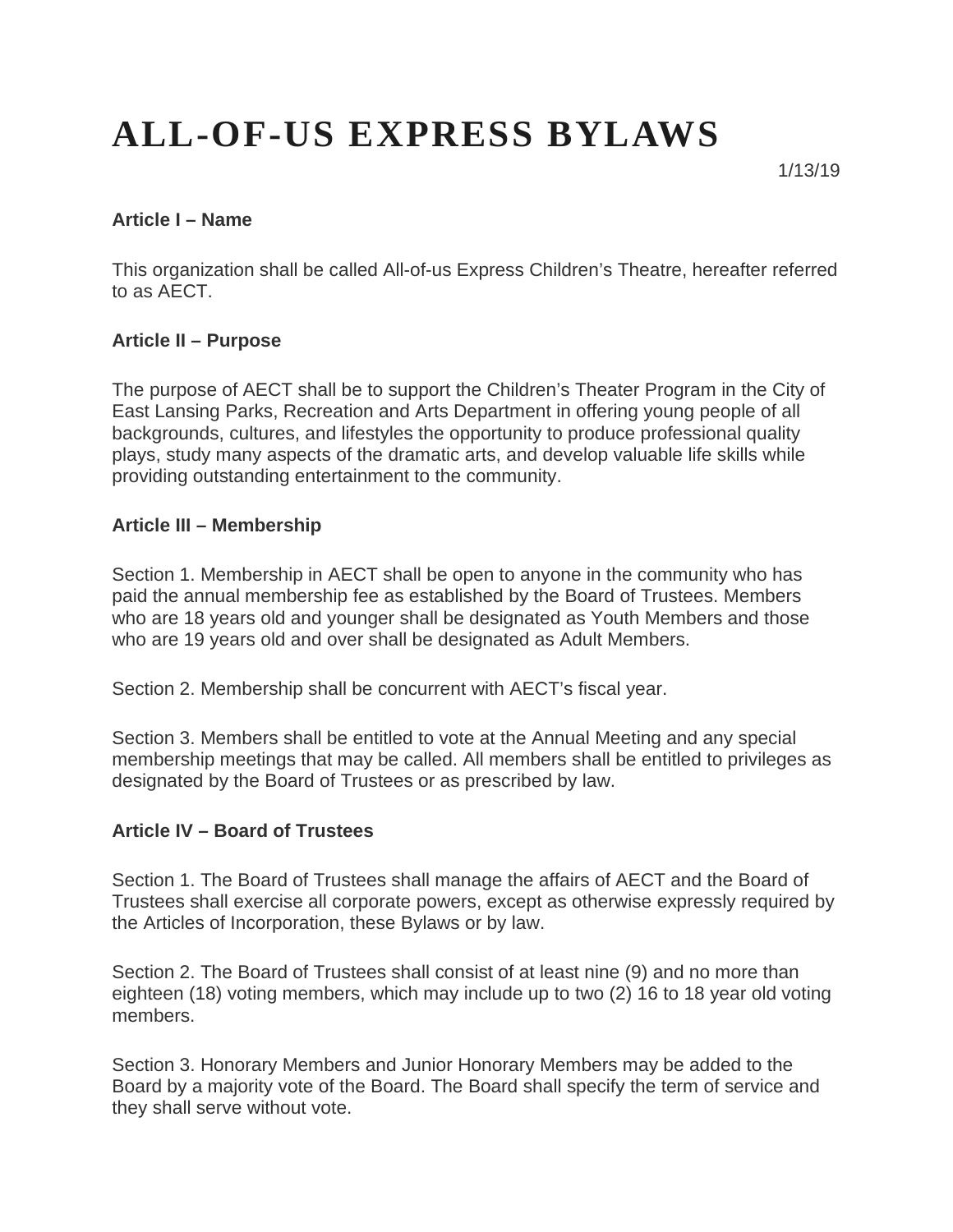# **ALL-OF-US EXPRESS BYLAWS**

1/13/19

#### **Article I – Name**

This organization shall be called All-of-us Express Children's Theatre, hereafter referred to as AECT.

#### **Article II – Purpose**

The purpose of AECT shall be to support the Children's Theater Program in the City of East Lansing Parks, Recreation and Arts Department in offering young people of all backgrounds, cultures, and lifestyles the opportunity to produce professional quality plays, study many aspects of the dramatic arts, and develop valuable life skills while providing outstanding entertainment to the community.

#### **Article III – Membership**

Section 1. Membership in AECT shall be open to anyone in the community who has paid the annual membership fee as established by the Board of Trustees. Members who are 18 years old and younger shall be designated as Youth Members and those who are 19 years old and over shall be designated as Adult Members.

Section 2. Membership shall be concurrent with AECT's fiscal year.

Section 3. Members shall be entitled to vote at the Annual Meeting and any special membership meetings that may be called. All members shall be entitled to privileges as designated by the Board of Trustees or as prescribed by law.

#### **Article IV – Board of Trustees**

Section 1. The Board of Trustees shall manage the affairs of AECT and the Board of Trustees shall exercise all corporate powers, except as otherwise expressly required by the Articles of Incorporation, these Bylaws or by law.

Section 2. The Board of Trustees shall consist of at least nine (9) and no more than eighteen (18) voting members, which may include up to two (2) 16 to 18 year old voting members.

Section 3. Honorary Members and Junior Honorary Members may be added to the Board by a majority vote of the Board. The Board shall specify the term of service and they shall serve without vote.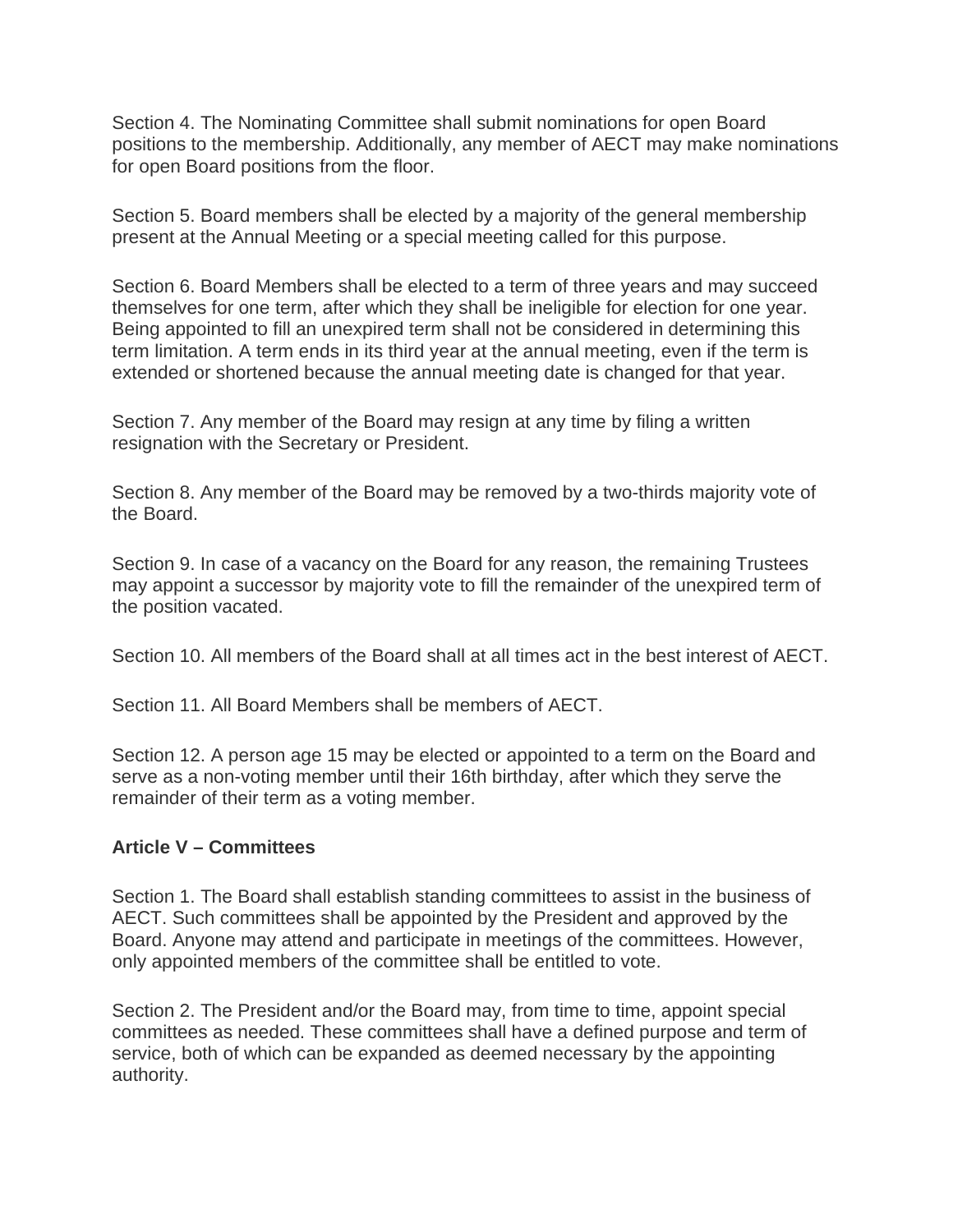Section 4. The Nominating Committee shall submit nominations for open Board positions to the membership. Additionally, any member of AECT may make nominations for open Board positions from the floor.

Section 5. Board members shall be elected by a majority of the general membership present at the Annual Meeting or a special meeting called for this purpose.

Section 6. Board Members shall be elected to a term of three years and may succeed themselves for one term, after which they shall be ineligible for election for one year. Being appointed to fill an unexpired term shall not be considered in determining this term limitation. A term ends in its third year at the annual meeting, even if the term is extended or shortened because the annual meeting date is changed for that year.

Section 7. Any member of the Board may resign at any time by filing a written resignation with the Secretary or President.

Section 8. Any member of the Board may be removed by a two-thirds majority vote of the Board.

Section 9. In case of a vacancy on the Board for any reason, the remaining Trustees may appoint a successor by majority vote to fill the remainder of the unexpired term of the position vacated.

Section 10. All members of the Board shall at all times act in the best interest of AECT.

Section 11. All Board Members shall be members of AECT.

Section 12. A person age 15 may be elected or appointed to a term on the Board and serve as a non-voting member until their 16th birthday, after which they serve the remainder of their term as a voting member.

## **Article V – Committees**

Section 1. The Board shall establish standing committees to assist in the business of AECT. Such committees shall be appointed by the President and approved by the Board. Anyone may attend and participate in meetings of the committees. However, only appointed members of the committee shall be entitled to vote.

Section 2. The President and/or the Board may, from time to time, appoint special committees as needed. These committees shall have a defined purpose and term of service, both of which can be expanded as deemed necessary by the appointing authority.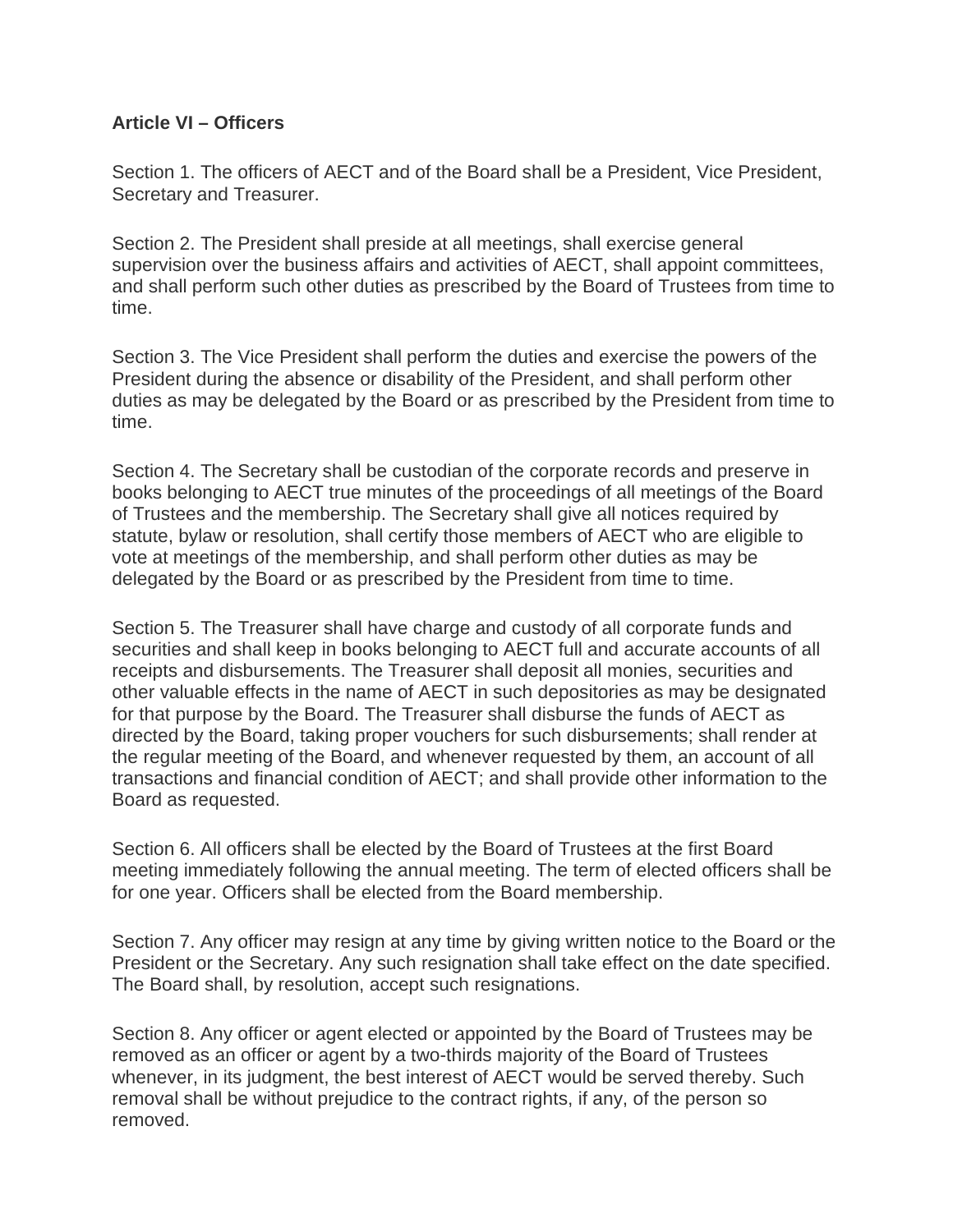#### **Article VI – Officers**

Section 1. The officers of AECT and of the Board shall be a President, Vice President, Secretary and Treasurer.

Section 2. The President shall preside at all meetings, shall exercise general supervision over the business affairs and activities of AECT, shall appoint committees, and shall perform such other duties as prescribed by the Board of Trustees from time to time.

Section 3. The Vice President shall perform the duties and exercise the powers of the President during the absence or disability of the President, and shall perform other duties as may be delegated by the Board or as prescribed by the President from time to time.

Section 4. The Secretary shall be custodian of the corporate records and preserve in books belonging to AECT true minutes of the proceedings of all meetings of the Board of Trustees and the membership. The Secretary shall give all notices required by statute, bylaw or resolution, shall certify those members of AECT who are eligible to vote at meetings of the membership, and shall perform other duties as may be delegated by the Board or as prescribed by the President from time to time.

Section 5. The Treasurer shall have charge and custody of all corporate funds and securities and shall keep in books belonging to AECT full and accurate accounts of all receipts and disbursements. The Treasurer shall deposit all monies, securities and other valuable effects in the name of AECT in such depositories as may be designated for that purpose by the Board. The Treasurer shall disburse the funds of AECT as directed by the Board, taking proper vouchers for such disbursements; shall render at the regular meeting of the Board, and whenever requested by them, an account of all transactions and financial condition of AECT; and shall provide other information to the Board as requested.

Section 6. All officers shall be elected by the Board of Trustees at the first Board meeting immediately following the annual meeting. The term of elected officers shall be for one year. Officers shall be elected from the Board membership.

Section 7. Any officer may resign at any time by giving written notice to the Board or the President or the Secretary. Any such resignation shall take effect on the date specified. The Board shall, by resolution, accept such resignations.

Section 8. Any officer or agent elected or appointed by the Board of Trustees may be removed as an officer or agent by a two-thirds majority of the Board of Trustees whenever, in its judgment, the best interest of AECT would be served thereby. Such removal shall be without prejudice to the contract rights, if any, of the person so removed.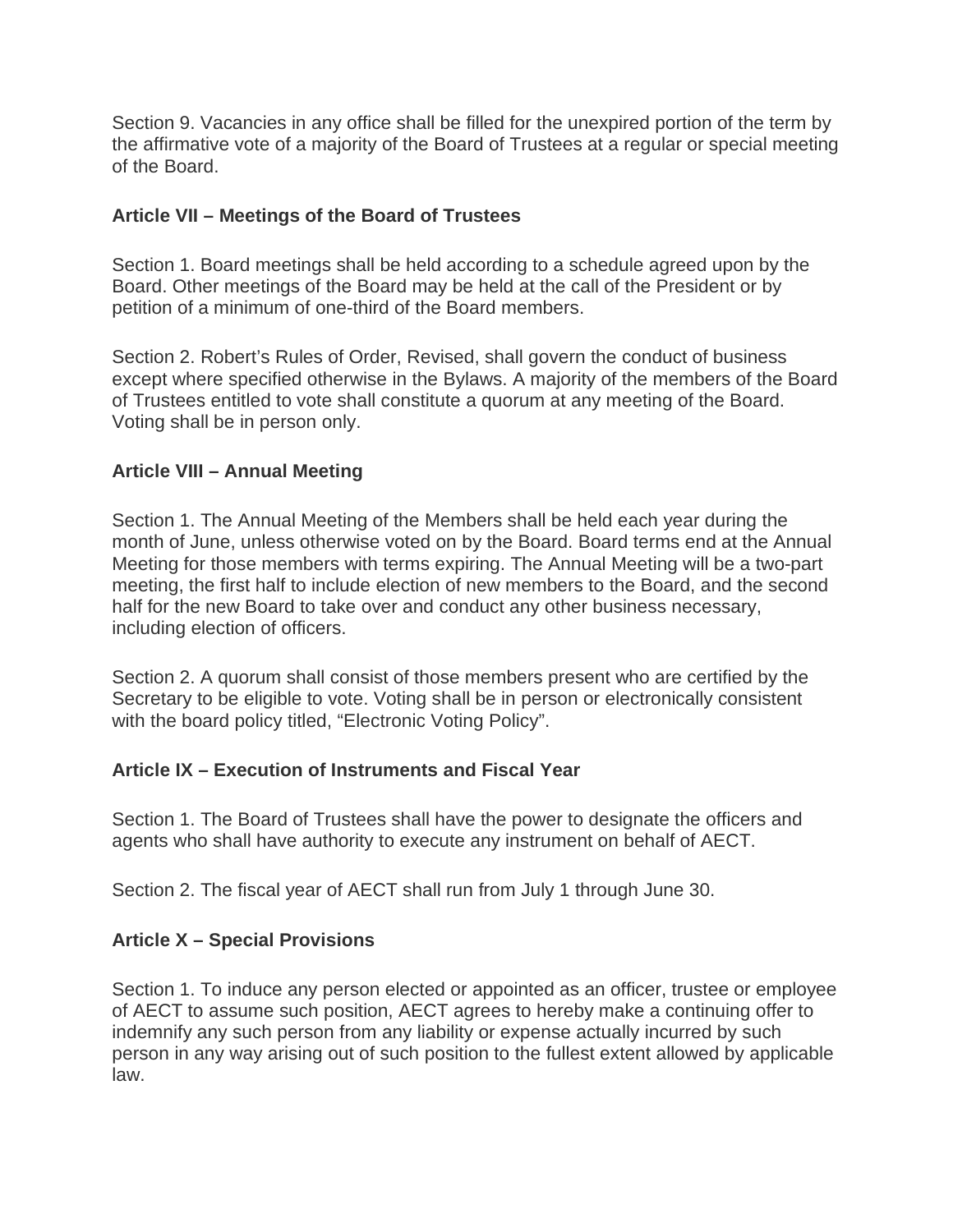Section 9. Vacancies in any office shall be filled for the unexpired portion of the term by the affirmative vote of a majority of the Board of Trustees at a regular or special meeting of the Board.

# **Article VII – Meetings of the Board of Trustees**

Section 1. Board meetings shall be held according to a schedule agreed upon by the Board. Other meetings of the Board may be held at the call of the President or by petition of a minimum of one-third of the Board members.

Section 2. Robert's Rules of Order, Revised, shall govern the conduct of business except where specified otherwise in the Bylaws. A majority of the members of the Board of Trustees entitled to vote shall constitute a quorum at any meeting of the Board. Voting shall be in person only.

## **Article VIII – Annual Meeting**

Section 1. The Annual Meeting of the Members shall be held each year during the month of June, unless otherwise voted on by the Board. Board terms end at the Annual Meeting for those members with terms expiring. The Annual Meeting will be a two-part meeting, the first half to include election of new members to the Board, and the second half for the new Board to take over and conduct any other business necessary, including election of officers.

Section 2. A quorum shall consist of those members present who are certified by the Secretary to be eligible to vote. Voting shall be in person or electronically consistent with the board policy titled, "Electronic Voting Policy".

## **Article IX – Execution of Instruments and Fiscal Year**

Section 1. The Board of Trustees shall have the power to designate the officers and agents who shall have authority to execute any instrument on behalf of AECT.

Section 2. The fiscal year of AECT shall run from July 1 through June 30.

# **Article X – Special Provisions**

Section 1. To induce any person elected or appointed as an officer, trustee or employee of AECT to assume such position, AECT agrees to hereby make a continuing offer to indemnify any such person from any liability or expense actually incurred by such person in any way arising out of such position to the fullest extent allowed by applicable law.